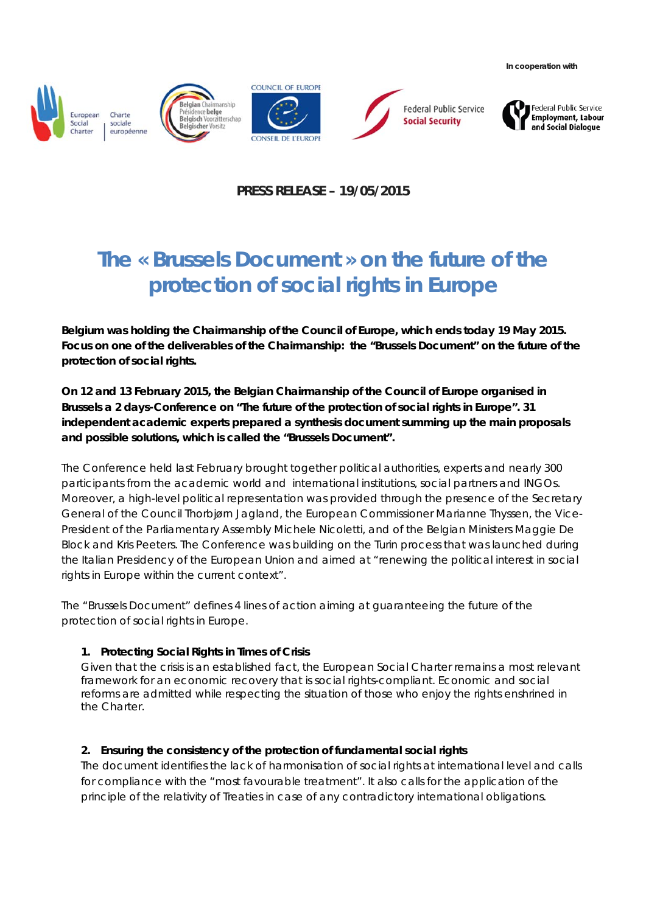**In cooperation with**







**Federal Public Service Social Security** 



**PRESS RELEASE – 19/05/2015**

# **The « Brussels Document » on the future of the protection of social rights in Europe**

**Belgium was holding the Chairmanship of the Council of Europe, which ends today 19 May 2015. Focus on one of the deliverables of the Chairmanship: the "Brussels Document" on the future of the protection of social rights.**

**On 12 and 13 February 2015, the Belgian Chairmanship of the Council of Europe organised in Brussels a 2 days-Conference on "The future of the protection of social rights in Europe". 31 independent academic experts prepared a synthesis document summing up the main proposals and possible solutions, which is called the "Brussels Document".**

The Conference held last February brought together political authorities, experts and nearly 300 participants from the academic world and international institutions, social partners and INGOs. Moreover, a high-level political representation was provided through the presence of the Secretary General of the Council Thorbjørn Jagland, the European Commissioner Marianne Thyssen, the Vice-President of the Parliamentary Assembly Michele Nicoletti, and of the Belgian Ministers Maggie De Block and Kris Peeters. The Conference was building on the Turin process that was launched during the Italian Presidency of the European Union and aimed at "renewing the political interest in social rights in Europe within the current context".

The "Brussels Document" defines 4 lines of action aiming at guaranteeing the future of the protection of social rights in Europe.

## **1. Protecting Social Rights in Times of Crisis**

Given that the crisis is an established fact, the European Social Charter remains a most relevant framework for an economic recovery that is social rights-compliant. Economic and social reforms are admitted while respecting the situation of those who enjoy the rights enshrined in the Charter.

## **2. Ensuring the consistency of the protection of fundamental social rights**

The document identifies the lack of harmonisation of social rights at international level and calls for compliance with the "most favourable treatment". It also calls for the application of the principle of the relativity of Treaties in case of any contradictory international obligations.